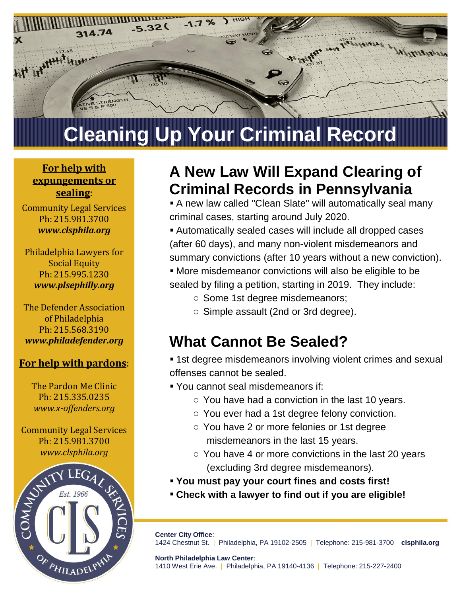

### **For help with expungements or sealing**:

Community Legal Services Ph: 215.981.3700 *www.clsphila.org*

Philadelphia Lawyers for Social Equity Ph: 215.995.1230 *www.plsephilly.org*

The Defender Association of Philadelphia Ph: 215.568.3190 *www.philadefender.org*

#### **For help with pardons**:

The Pardon Me Clinic Ph: 215.335.0235 *www.x-offenders.org*

Community Legal Services *www.clsphila.org*



### **A New Law Will Expand Clearing of Criminal Records in Pennsylvania**

 A new law called "Clean Slate" will automatically seal many criminal cases, starting around July 2020.

 Automatically sealed cases will include all dropped cases (after 60 days), and many non-violent misdemeanors and summary convictions (after 10 years without a new conviction).

More misdemeanor convictions will also be eligible to be

sealed by filing a petition, starting in 2019. They include:

- o Some 1st degree misdemeanors;
- o Simple assault (2nd or 3rd degree).

### **What Cannot Be Sealed?**

**1st degree misdemeanors involving violent crimes and sexual** offenses cannot be sealed.

- You cannot seal misdemeanors if:
	- $\circ$  You have had a conviction in the last 10 years.
	- o You ever had a 1st degree felony conviction.
	- o You have 2 or more felonies or 1st degree misdemeanors in the last 15 years.
	- o You have 4 or more convictions in the last 20 years (excluding 3rd degree misdemeanors).
- **You must pay your court fines and costs first!**
- **Check with a lawyer to find out if you are eligible!**

**Center City Office**: 1424 Chestnut St. | Philadelphia, PA 19102-2505 | Telephone: 215-981-3700 **clsphila.org**

**North Philadelphia Law Center**: 1410 West Erie Ave. | Philadelphia, PA 19140-4136 | Telephone: 215-227-2400